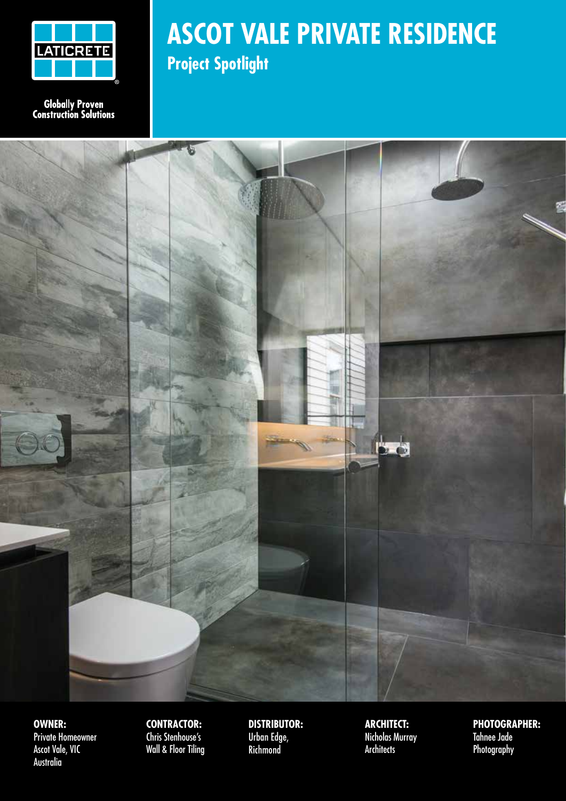

**Globally Proven**<br>Construction Solutions

#### **ASCOT VALE PRIVATE RESIDENCE Project Spotlight**



**OWNER:** Private Homeowner Ascot Vale, VIC Australia

**CONTRACTOR:** Chris Stenhouse's Wall & Floor Tiling

**DISTRIBUTOR:** Urban Edge, **Richmond** 

**ARCHITECT:** Nicholas Murray **Architects** 

**PHOTOGRAPHER:** Tahnee Jade Photography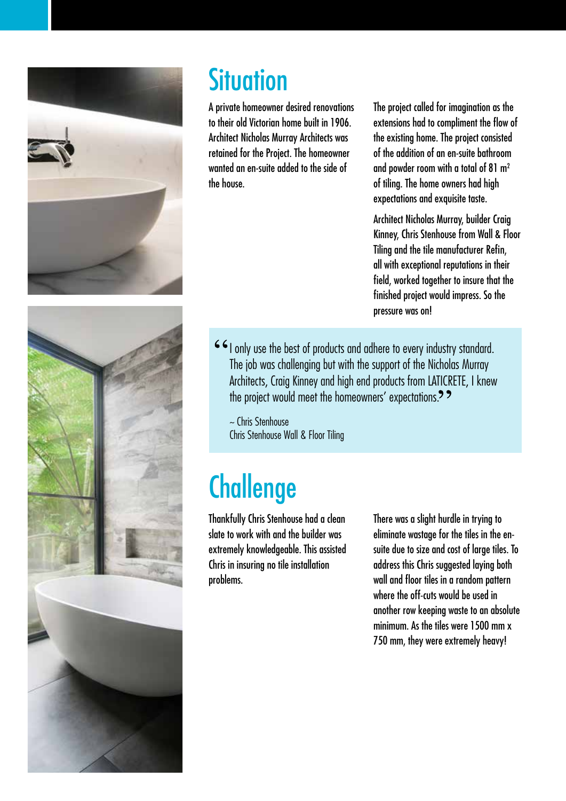



### **Situation**

A private homeowner desired renovations to their old Victorian home built in 1906. Architect Nicholas Murray Architects was retained for the Project. The homeowner wanted an en-suite added to the side of the house.

The project called for imagination as the extensions had to compliment the flow of the existing home. The project consisted of the addition of an en-suite bathroom and powder room with a total of 81 m2 of tiling. The home owners had high expectations and exquisite taste.

Architect Nicholas Murray, builder Craig Kinney, Chris Stenhouse from Wall & Floor Tiling and the tile manufacturer Refin, all with exceptional reputations in their field, worked together to insure that the finished project would impress. So the pressure was on!

I only use the best of products and adhere to every industry standard. The job was challenging but with the support of the Nicholas Murray Architects, Craig Kinney and high end products from LATICRETE, I knew the project would meet the homeowners' expectations.<sup>?</sup>

~ Chris Stenhouse Chris Stenhouse Wall & Floor Tiling

# **Challenge**

Thankfully Chris Stenhouse had a clean slate to work with and the builder was extremely knowledgeable. This assisted Chris in insuring no tile installation problems.

There was a slight hurdle in trying to eliminate wastage for the tiles in the ensuite due to size and cost of large tiles. To address this Chris suggested laying both wall and floor tiles in a random pattern where the off-cuts would be used in another row keeping waste to an absolute minimum. As the tiles were 1500 mm x 750 mm, they were extremely heavy!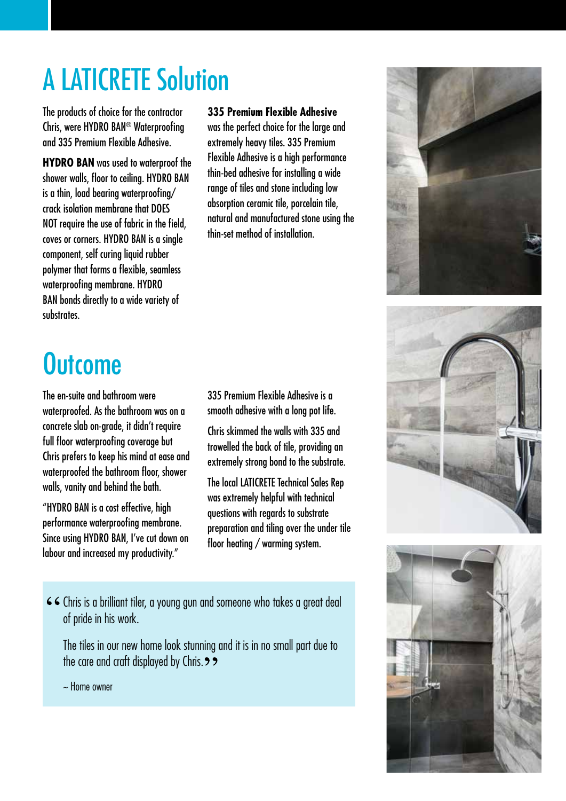# A LATICRETE Solution

The products of choice for the contractor Chris, were HYDRO BAN® Waterproofing and 335 Premium Flexible Adhesive.

**HYDRO BAN** was used to waterproof the shower walls, floor to ceiling. HYDRO BAN is a thin, load bearing waterproofing/ crack isolation membrane that DOES NOT require the use of fabric in the field, coves or corners. HYDRO BAN is a single component, self curing liquid rubber polymer that forms a flexible, seamless waterproofing membrane. HYDRO BAN bonds directly to a wide variety of substrates.

## **Outcome**

The en-suite and bathroom were waterproofed. As the bathroom was on a concrete slab on-grade, it didn't require full floor waterproofing coverage but Chris prefers to keep his mind at ease and waterproofed the bathroom floor, shower walls, vanity and behind the bath.

"HYDRO BAN is a cost effective, high performance waterproofing membrane. Since using HYDRO BAN, I've cut down on labour and increased my productivity."

**335 Premium Flexible Adhesive**

was the perfect choice for the large and extremely heavy tiles. 335 Premium Flexible Adhesive is a high performance thin-bed adhesive for installing a wide range of tiles and stone including low absorption ceramic tile, porcelain tile, natural and manufactured stone using the thin-set method of installation.

#### 335 Premium Flexible Adhesive is a smooth adhesive with a long pot life.

Chris skimmed the walls with 335 and trowelled the back of tile, providing an extremely strong bond to the substrate.

The local LATICRETE Technical Sales Rep was extremely helpful with technical questions with regards to substrate preparation and tiling over the under tile floor heating / warming system.

66 Chris is a brilliant tiler, a young gun and someone who takes a great deal of pride in his work.

The tiles in our new home look stunning and it is in no small part due to the care and craft displayed by Chris.  $\rightarrow$ 

 $\sim$  Home owner